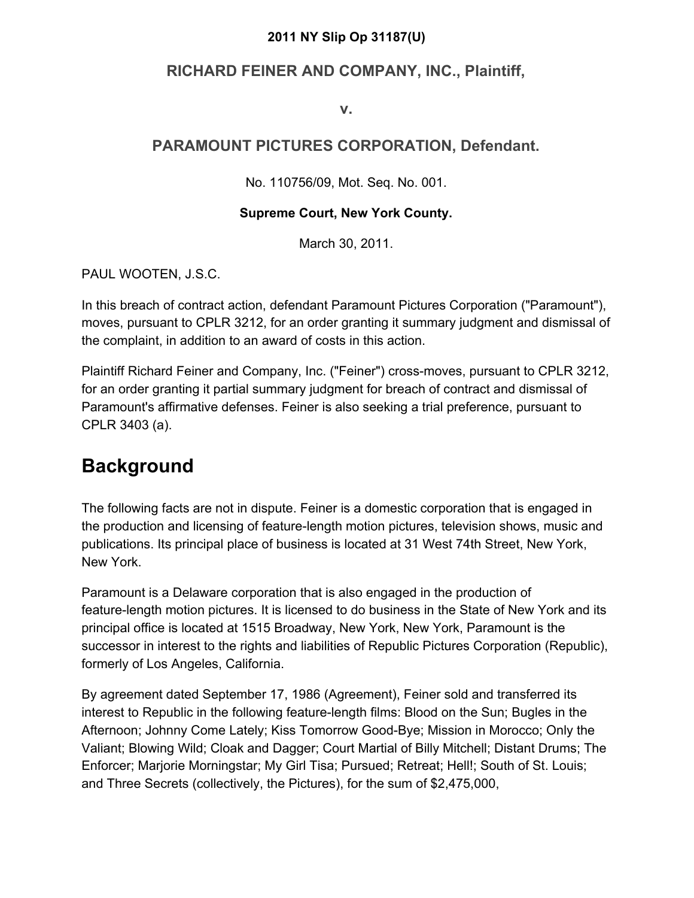#### **2011 NY Slip Op 31187(U)**

### **RICHARD FEINER AND COMPANY, INC., Plaintiff,**

**v.**

### **PARAMOUNT PICTURES CORPORATION, Defendant.**

No. 110756/09, Mot. Seq. No. 001.

#### **Supreme Court, New York County.**

March 30, 2011.

PAUL WOOTEN, J.S.C.

In this breach of contract action, defendant Paramount Pictures Corporation ("Paramount"), moves, pursuant to CPLR 3212, for an order granting it summary judgment and dismissal of the complaint, in addition to an award of costs in this action.

Plaintiff Richard Feiner and Company, Inc. ("Feiner") cross-moves, pursuant to CPLR 3212, for an order granting it partial summary judgment for breach of contract and dismissal of Paramount's affirmative defenses. Feiner is also seeking a trial preference, pursuant to CPLR 3403 (a).

## **Background**

The following facts are not in dispute. Feiner is a domestic corporation that is engaged in the production and licensing of feature-length motion pictures, television shows, music and publications. Its principal place of business is located at 31 West 74th Street, New York, New York.

Paramount is a Delaware corporation that is also engaged in the production of feature-length motion pictures. It is licensed to do business in the State of New York and its principal office is located at 1515 Broadway, New York, New York, Paramount is the successor in interest to the rights and liabilities of Republic Pictures Corporation (Republic), formerly of Los Angeles, California.

By agreement dated September 17, 1986 (Agreement), Feiner sold and transferred its interest to Republic in the following feature-length films: Blood on the Sun; Bugles in the Afternoon; Johnny Come Lately; Kiss Tomorrow Good-Bye; Mission in Morocco; Only the Valiant; Blowing Wild; Cloak and Dagger; Court Martial of Billy Mitchell; Distant Drums; The Enforcer; Marjorie Morningstar; My Girl Tisa; Pursued; Retreat; Hell!; South of St. Louis; and Three Secrets (collectively, the Pictures), for the sum of \$2,475,000,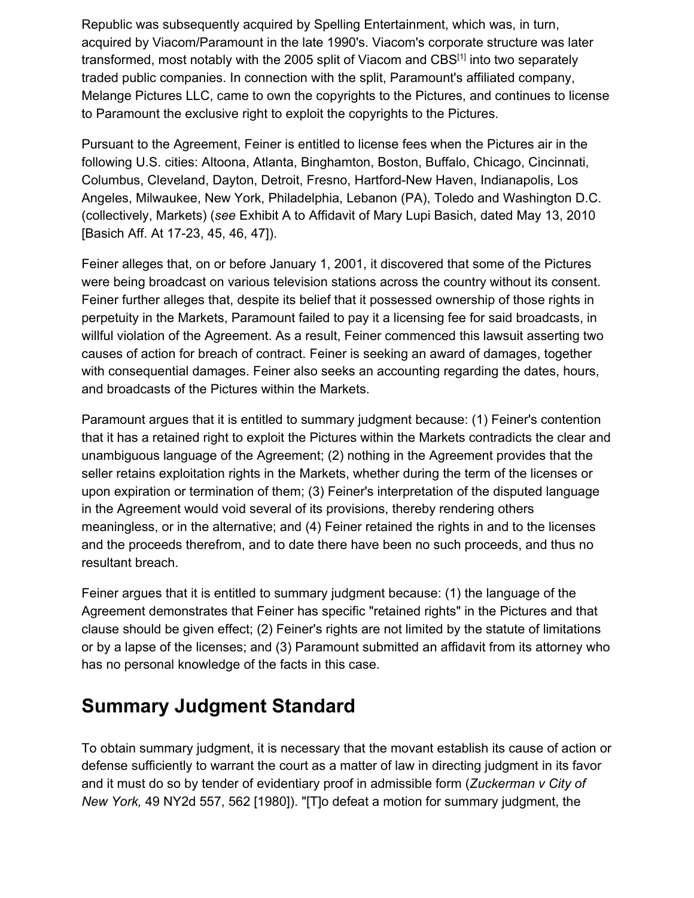Republic was subsequently acquired by Spelling Entertainment, which was, in turn, acquired by Viacom/Paramount in the late 1990's. Viacom's corporate structure was later transformed, most notably with the 2005 split of Viacom and CBS<sup>[1]</sup> into two separately traded public companies. In connection with the split, Paramount's affiliated company, Melange Pictures LLC, came to own the copyrights to the Pictures, and continues to license to Paramount the exclusive right to exploit the copyrights to the Pictures.

Pursuant to the Agreement, Feiner is entitled to license fees when the Pictures air in the following U.S. cities: Altoona, Atlanta, Binghamton, Boston, Buffalo, Chicago, Cincinnati, Columbus, Cleveland, Dayton, Detroit, Fresno, Hartford-New Haven, Indianapolis, Los Angeles, Milwaukee, New York, Philadelphia, Lebanon (PA), Toledo and Washington D.C. (collectively, Markets) (*see* Exhibit A to Affidavit of Mary Lupi Basich, dated May 13, 2010 [Basich Aff. At 17-23, 45, 46, 47]).

Feiner alleges that, on or before January 1, 2001, it discovered that some of the Pictures were being broadcast on various television stations across the country without its consent. Feiner further alleges that, despite its belief that it possessed ownership of those rights in perpetuity in the Markets, Paramount failed to pay it a licensing fee for said broadcasts, in willful violation of the Agreement. As a result, Feiner commenced this lawsuit asserting two causes of action for breach of contract. Feiner is seeking an award of damages, together with consequential damages. Feiner also seeks an accounting regarding the dates, hours, and broadcasts of the Pictures within the Markets.

Paramount argues that it is entitled to summary judgment because: (1) Feiner's contention that it has a retained right to exploit the Pictures within the Markets contradicts the clear and unambiguous language of the Agreement; (2) nothing in the Agreement provides that the seller retains exploitation rights in the Markets, whether during the term of the licenses or upon expiration or termination of them; (3) Feiner's interpretation of the disputed language in the Agreement would void several of its provisions, thereby rendering others meaningless, or in the alternative; and (4) Feiner retained the rights in and to the licenses and the proceeds therefrom, and to date there have been no such proceeds, and thus no resultant breach.

Feiner argues that it is entitled to summary judgment because: (1) the language of the Agreement demonstrates that Feiner has specific "retained rights" in the Pictures and that clause should be given effect; (2) Feiner's rights are not limited by the statute of limitations or by a lapse of the licenses; and (3) Paramount submitted an affidavit from its attorney who has no personal knowledge of the facts in this case.

## **Summary Judgment Standard**

To obtain summary judgment, it is necessary that the movant establish its cause of action or defense sufficiently to warrant the court as a matter of law in directing judgment in its favor and it must do so by tender of evidentiary proof in admissible form (*Zuckerman v City of New York,* 49 NY2d 557, 562 [1980]). "[T]o defeat a motion for summary judgment, the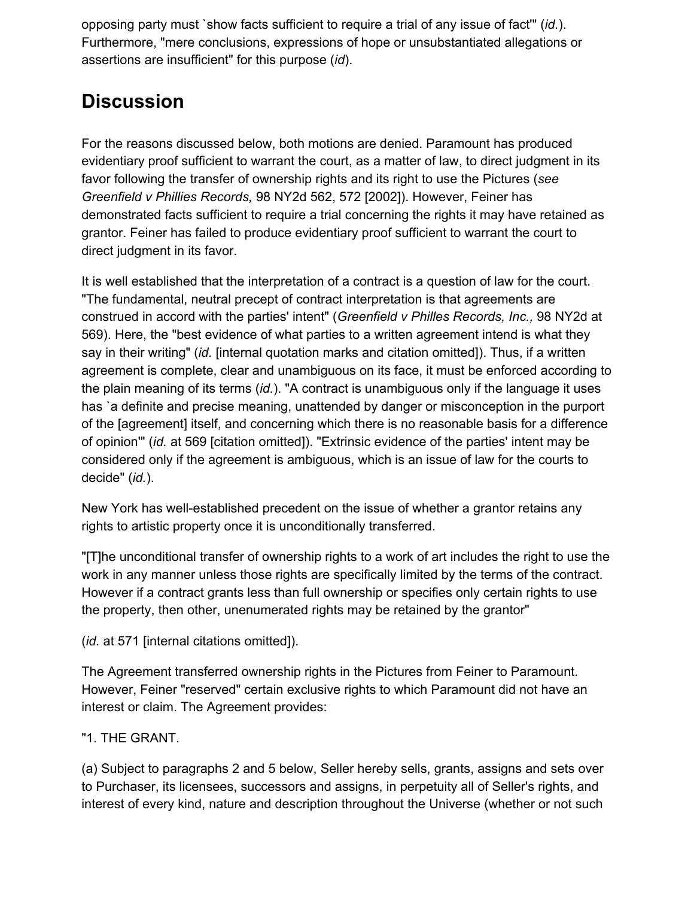opposing party must `show facts sufficient to require a trial of any issue of fact'" (*id.*). Furthermore, "mere conclusions, expressions of hope or unsubstantiated allegations or assertions are insufficient" for this purpose (*id*).

# **Discussion**

For the reasons discussed below, both motions are denied. Paramount has produced evidentiary proof sufficient to warrant the court, as a matter of law, to direct judgment in its favor following the transfer of ownership rights and its right to use the Pictures (*see Greenfield v Phillies Records,* 98 NY2d 562, 572 [2002]). However, Feiner has demonstrated facts sufficient to require a trial concerning the rights it may have retained as grantor. Feiner has failed to produce evidentiary proof sufficient to warrant the court to direct judgment in its favor.

It is well established that the interpretation of a contract is a question of law for the court. "The fundamental, neutral precept of contract interpretation is that agreements are construed in accord with the parties' intent" (*Greenfield v Philles Records, Inc.,* 98 NY2d at 569). Here, the "best evidence of what parties to a written agreement intend is what they say in their writing" (*id.* [internal quotation marks and citation omitted]). Thus, if a written agreement is complete, clear and unambiguous on its face, it must be enforced according to the plain meaning of its terms (*id.*). "A contract is unambiguous only if the language it uses has `a definite and precise meaning, unattended by danger or misconception in the purport of the [agreement] itself, and concerning which there is no reasonable basis for a difference of opinion'" (*id.* at 569 [citation omitted]). "Extrinsic evidence of the parties' intent may be considered only if the agreement is ambiguous, which is an issue of law for the courts to decide" (*id.*).

New York has well-established precedent on the issue of whether a grantor retains any rights to artistic property once it is unconditionally transferred.

"[T]he unconditional transfer of ownership rights to a work of art includes the right to use the work in any manner unless those rights are specifically limited by the terms of the contract. However if a contract grants less than full ownership or specifies only certain rights to use the property, then other, unenumerated rights may be retained by the grantor"

(*id.* at 571 [internal citations omitted]).

The Agreement transferred ownership rights in the Pictures from Feiner to Paramount. However, Feiner "reserved" certain exclusive rights to which Paramount did not have an interest or claim. The Agreement provides:

### "1. THE GRANT.

(a) Subject to paragraphs 2 and 5 below, Seller hereby sells, grants, assigns and sets over to Purchaser, its licensees, successors and assigns, in perpetuity all of Seller's rights, and interest of every kind, nature and description throughout the Universe (whether or not such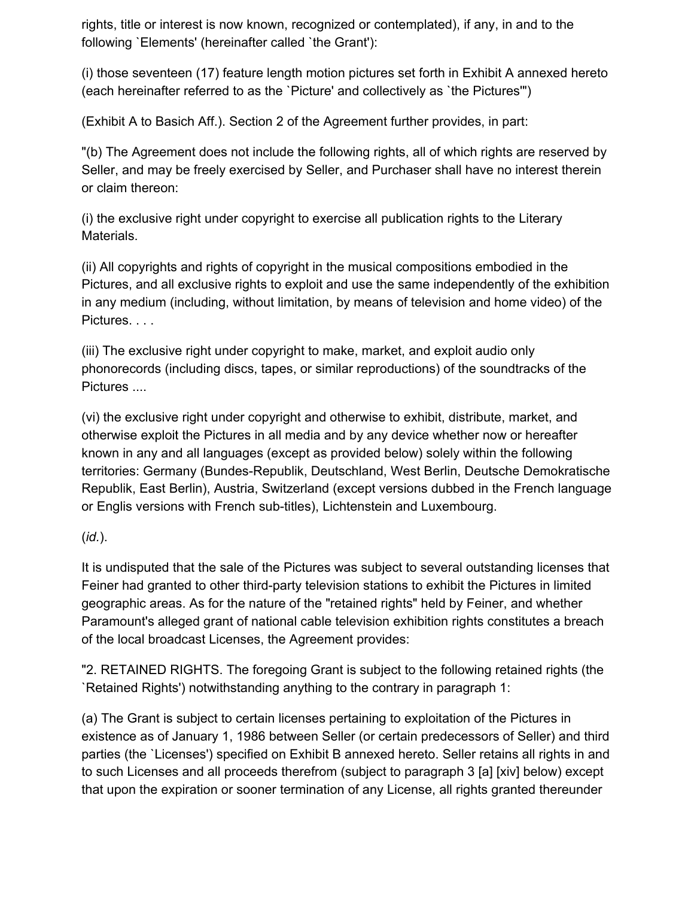rights, title or interest is now known, recognized or contemplated), if any, in and to the following `Elements' (hereinafter called `the Grant'):

(i) those seventeen (17) feature length motion pictures set forth in Exhibit A annexed hereto (each hereinafter referred to as the `Picture' and collectively as `the Pictures'")

(Exhibit A to Basich Aff.). Section 2 of the Agreement further provides, in part:

"(b) The Agreement does not include the following rights, all of which rights are reserved by Seller, and may be freely exercised by Seller, and Purchaser shall have no interest therein or claim thereon:

(i) the exclusive right under copyright to exercise all publication rights to the Literary Materials.

(ii) All copyrights and rights of copyright in the musical compositions embodied in the Pictures, and all exclusive rights to exploit and use the same independently of the exhibition in any medium (including, without limitation, by means of television and home video) of the Pictures. . . .

(iii) The exclusive right under copyright to make, market, and exploit audio only phonorecords (including discs, tapes, or similar reproductions) of the soundtracks of the Pictures ....

(vi) the exclusive right under copyright and otherwise to exhibit, distribute, market, and otherwise exploit the Pictures in all media and by any device whether now or hereafter known in any and all languages (except as provided below) solely within the following territories: Germany (Bundes-Republik, Deutschland, West Berlin, Deutsche Demokratische Republik, East Berlin), Austria, Switzerland (except versions dubbed in the French language or Englis versions with French sub-titles), Lichtenstein and Luxembourg.

### (*id.*).

It is undisputed that the sale of the Pictures was subject to several outstanding licenses that Feiner had granted to other third-party television stations to exhibit the Pictures in limited geographic areas. As for the nature of the "retained rights" held by Feiner, and whether Paramount's alleged grant of national cable television exhibition rights constitutes a breach of the local broadcast Licenses, the Agreement provides:

"2. RETAINED RIGHTS. The foregoing Grant is subject to the following retained rights (the `Retained Rights') notwithstanding anything to the contrary in paragraph 1:

(a) The Grant is subject to certain licenses pertaining to exploitation of the Pictures in existence as of January 1, 1986 between Seller (or certain predecessors of Seller) and third parties (the `Licenses') specified on Exhibit B annexed hereto. Seller retains all rights in and to such Licenses and all proceeds therefrom (subject to paragraph 3 [a] [xiv] below) except that upon the expiration or sooner termination of any License, all rights granted thereunder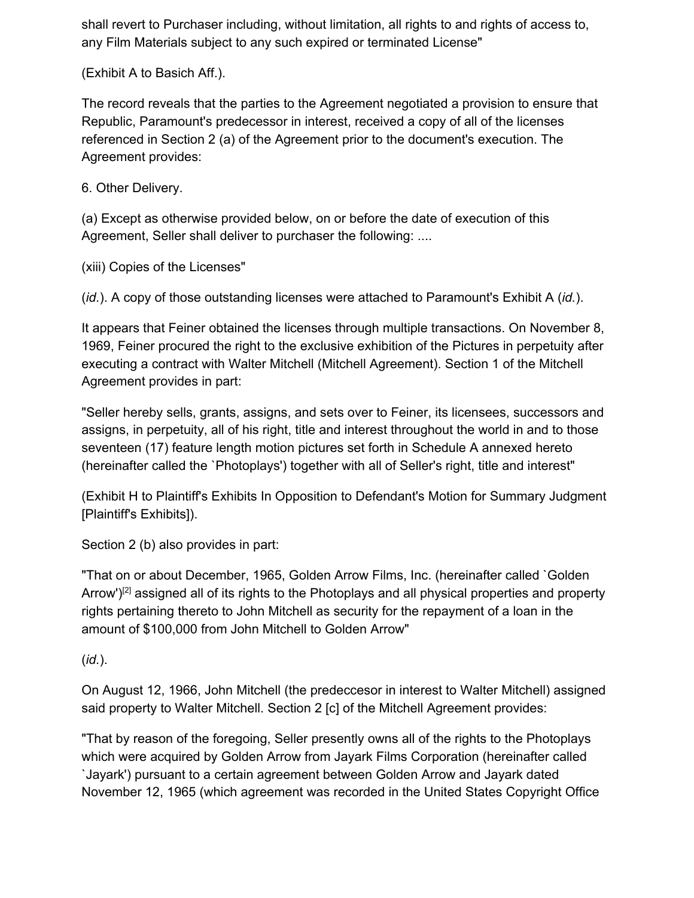shall revert to Purchaser including, without limitation, all rights to and rights of access to, any Film Materials subject to any such expired or terminated License"

(Exhibit A to Basich Aff.).

The record reveals that the parties to the Agreement negotiated a provision to ensure that Republic, Paramount's predecessor in interest, received a copy of all of the licenses referenced in Section 2 (a) of the Agreement prior to the document's execution. The Agreement provides:

6. Other Delivery.

(a) Except as otherwise provided below, on or before the date of execution of this Agreement, Seller shall deliver to purchaser the following: ....

(xiii) Copies of the Licenses"

(*id.*). A copy of those outstanding licenses were attached to Paramount's Exhibit A (*id.*).

It appears that Feiner obtained the licenses through multiple transactions. On November 8, 1969, Feiner procured the right to the exclusive exhibition of the Pictures in perpetuity after executing a contract with Walter Mitchell (Mitchell Agreement). Section 1 of the Mitchell Agreement provides in part:

"Seller hereby sells, grants, assigns, and sets over to Feiner, its licensees, successors and assigns, in perpetuity, all of his right, title and interest throughout the world in and to those seventeen (17) feature length motion pictures set forth in Schedule A annexed hereto (hereinafter called the `Photoplays') together with all of Seller's right, title and interest"

(Exhibit H to Plaintiff's Exhibits In Opposition to Defendant's Motion for Summary Judgment [Plaintiff's Exhibits]).

Section 2 (b) also provides in part:

"That on or about December, 1965, Golden Arrow Films, Inc. (hereinafter called `Golden Arrow') $[2]$  assigned all of its rights to the Photoplays and all physical properties and property rights pertaining thereto to John Mitchell as security for the repayment of a loan in the amount of \$100,000 from John Mitchell to Golden Arrow"

(*id.*).

On August 12, 1966, John Mitchell (the predeccesor in interest to Walter Mitchell) assigned said property to Walter Mitchell. Section 2 [c] of the Mitchell Agreement provides:

"That by reason of the foregoing, Seller presently owns all of the rights to the Photoplays which were acquired by Golden Arrow from Jayark Films Corporation (hereinafter called `Jayark') pursuant to a certain agreement between Golden Arrow and Jayark dated November 12, 1965 (which agreement was recorded in the United States Copyright Office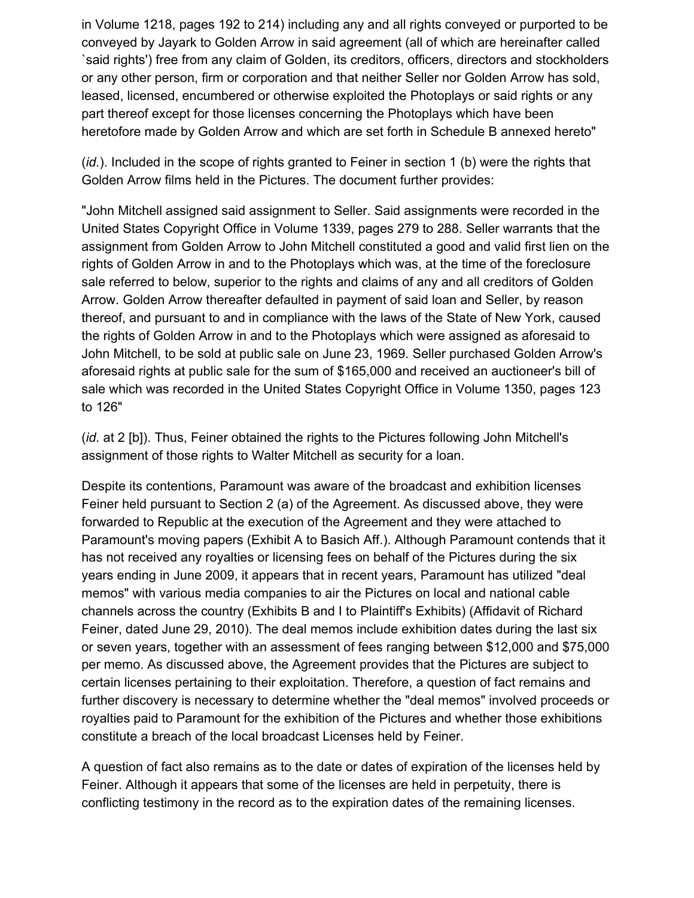in Volume 1218, pages 192 to 214) including any and all rights conveyed or purported to be conveyed by Jayark to Golden Arrow in said agreement (all of which are hereinafter called `said rights') free from any claim of Golden, its creditors, officers, directors and stockholders or any other person, firm or corporation and that neither Seller nor Golden Arrow has sold, leased, licensed, encumbered or otherwise exploited the Photoplays or said rights or any part thereof except for those licenses concerning the Photoplays which have been heretofore made by Golden Arrow and which are set forth in Schedule B annexed hereto"

(*id.*). Included in the scope of rights granted to Feiner in section 1 (b) were the rights that Golden Arrow films held in the Pictures. The document further provides:

"John Mitchell assigned said assignment to Seller. Said assignments were recorded in the United States Copyright Office in Volume 1339, pages 279 to 288. Seller warrants that the assignment from Golden Arrow to John Mitchell constituted a good and valid first lien on the rights of Golden Arrow in and to the Photoplays which was, at the time of the foreclosure sale referred to below, superior to the rights and claims of any and all creditors of Golden Arrow. Golden Arrow thereafter defaulted in payment of said loan and Seller, by reason thereof, and pursuant to and in compliance with the laws of the State of New York, caused the rights of Golden Arrow in and to the Photoplays which were assigned as aforesaid to John Mitchell, to be sold at public sale on June 23, 1969. Seller purchased Golden Arrow's aforesaid rights at public sale for the sum of \$165,000 and received an auctioneer's bill of sale which was recorded in the United States Copyright Office in Volume 1350, pages 123 to 126"

(*id.* at 2 [b]). Thus, Feiner obtained the rights to the Pictures following John Mitchell's assignment of those rights to Walter Mitchell as security for a loan.

Despite its contentions, Paramount was aware of the broadcast and exhibition licenses Feiner held pursuant to Section 2 (a) of the Agreement. As discussed above, they were forwarded to Republic at the execution of the Agreement and they were attached to Paramount's moving papers (Exhibit A to Basich Aff.). Although Paramount contends that it has not received any royalties or licensing fees on behalf of the Pictures during the six years ending in June 2009, it appears that in recent years, Paramount has utilized "deal memos" with various media companies to air the Pictures on local and national cable channels across the country (Exhibits B and I to Plaintiff's Exhibits) (Affidavit of Richard Feiner, dated June 29, 2010). The deal memos include exhibition dates during the last six or seven years, together with an assessment of fees ranging between \$12,000 and \$75,000 per memo. As discussed above, the Agreement provides that the Pictures are subject to certain licenses pertaining to their exploitation. Therefore, a question of fact remains and further discovery is necessary to determine whether the "deal memos" involved proceeds or royalties paid to Paramount for the exhibition of the Pictures and whether those exhibitions constitute a breach of the local broadcast Licenses held by Feiner.

A question of fact also remains as to the date or dates of expiration of the licenses held by Feiner. Although it appears that some of the licenses are held in perpetuity, there is conflicting testimony in the record as to the expiration dates of the remaining licenses.